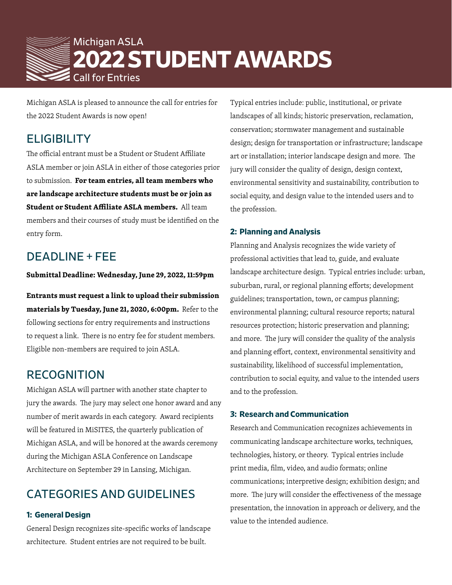

Michigan ASLA is pleased to announce the call for entries for the 2022 Student Awards is now open!

## **ELIGIBILITY**

The official entrant must be a Student or Student Affiliate ASLA member or join ASLA in either of those categories prior to submission. **For team entries, all team members who are landscape architecture students must be or join as Student or Student Affiliate ASLA members.** All team members and their courses of study must be identified on the entry form.

# DEADLINE + FEE

**Submittal Deadline: Wednesday, June 29, 2022, 11:59pm** 

**Entrants must request a link to upload their submission materials by Tuesday, June 21, 2020, 6:00pm.** Refer to the following sections for entry requirements and instructions to request a link. There is no entry fee for student members. Eligible non-members are required to join ASLA.

### RECOGNITION

Michigan ASLA will partner with another state chapter to jury the awards. The jury may select one honor award and any number of merit awards in each category. Award recipients will be featured in MiSITES, the quarterly publication of Michigan ASLA, and will be honored at the awards ceremony during the Michigan ASLA Conference on Landscape Architecture on September 29 in Lansing, Michigan.

# CATEGORIES AND GUIDELINES

#### **1: General Design**

General Design recognizes site-specific works of landscape architecture. Student entries are not required to be built.

Typical entries include: public, institutional, or private landscapes of all kinds; historic preservation, reclamation, conservation; stormwater management and sustainable design; design for transportation or infrastructure; landscape art or installation; interior landscape design and more. The jury will consider the quality of design, design context, environmental sensitivity and sustainability, contribution to social equity, and design value to the intended users and to the profession.

#### **2: Planning and Analysis**

Planning and Analysis recognizes the wide variety of professional activities that lead to, guide, and evaluate landscape architecture design. Typical entries include: urban, suburban, rural, or regional planning efforts; development guidelines; transportation, town, or campus planning; environmental planning; cultural resource reports; natural resources protection; historic preservation and planning; and more. The jury will consider the quality of the analysis and planning effort, context, environmental sensitivity and sustainability, likelihood of successful implementation, contribution to social equity, and value to the intended users and to the profession.

#### **3: Research and Communication**

Research and Communication recognizes achievements in communicating landscape architecture works, techniques, technologies, history, or theory. Typical entries include print media, film, video, and audio formats; online communications; interpretive design; exhibition design; and more. The jury will consider the effectiveness of the message presentation, the innovation in approach or delivery, and the value to the intended audience.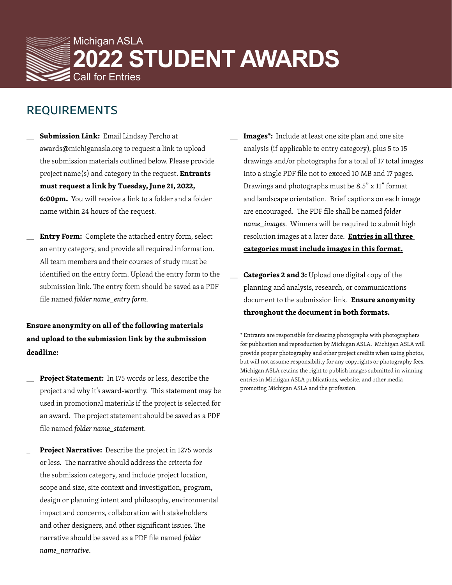

### REQUIREMENTS

- Submission Link: Email Lindsay Fercho at awards@michiganasla.org to request a link to upload the submission materials outlined below. Please provide project name(s) and category in the request. **Entrants must request a link by Tuesday, June 21, 2022, 6:00pm.** You will receive a link to a folder and a folder name within 24 hours of the request.
- **Entry Form:** Complete the attached entry form, select an entry category, and provide all required information. All team members and their courses of study must be identified on the entry form. Upload the entry form to the submission link. The entry form should be saved as a PDF file named *folder name\_entry form*.

### **Ensure anonymity on all of the following materials and upload to the submission link by the submission deadline:**

- Project Statement: In 175 words or less, describe the project and why it's award-worthy. This statement may be used in promotional materials if the project is selected for an award. The project statement should be saved as a PDF file named *folder name\_statement*.
- Project Narrative: Describe the project in 1275 words or less. The narrative should address the criteria for the submission category, and include project location, scope and size, site context and investigation, program, design or planning intent and philosophy, environmental impact and concerns, collaboration with stakeholders and other designers, and other significant issues. The narrative should be saved as a PDF file named *folder name\_narrative*.
- Images<sup>\*</sup>: Include at least one site plan and one site analysis (if applicable to entry category), plus 5 to 15 drawings and/or photographs for a total of 17 total images into a single PDF file not to exceed 10 MB and 17 pages. Drawings and photographs must be 8.5" x 11" format and landscape orientation. Brief captions on each image are encouraged. The PDF file shall be named *folder name\_images*. Winners will be required to submit high resolution images at a later date. **Entries in all three categories must include images in this format.**
- **Categories 2 and 3:** Upload one digital copy of the planning and analysis, research, or communications document to the submission link. **Ensure anonymity throughout the document in both formats.**

\* Entrants are responsible for clearing photographs with photographers for publication and reproduction by Michigan ASLA. Michigan ASLA will provide proper photography and other project credits when using photos, but will not assume responsibility for any copyrights or photography fees. Michigan ASLA retains the right to publish images submitted in winning entries in Michigan ASLA publications, website, and other media promoting Michigan ASLA and the profession.